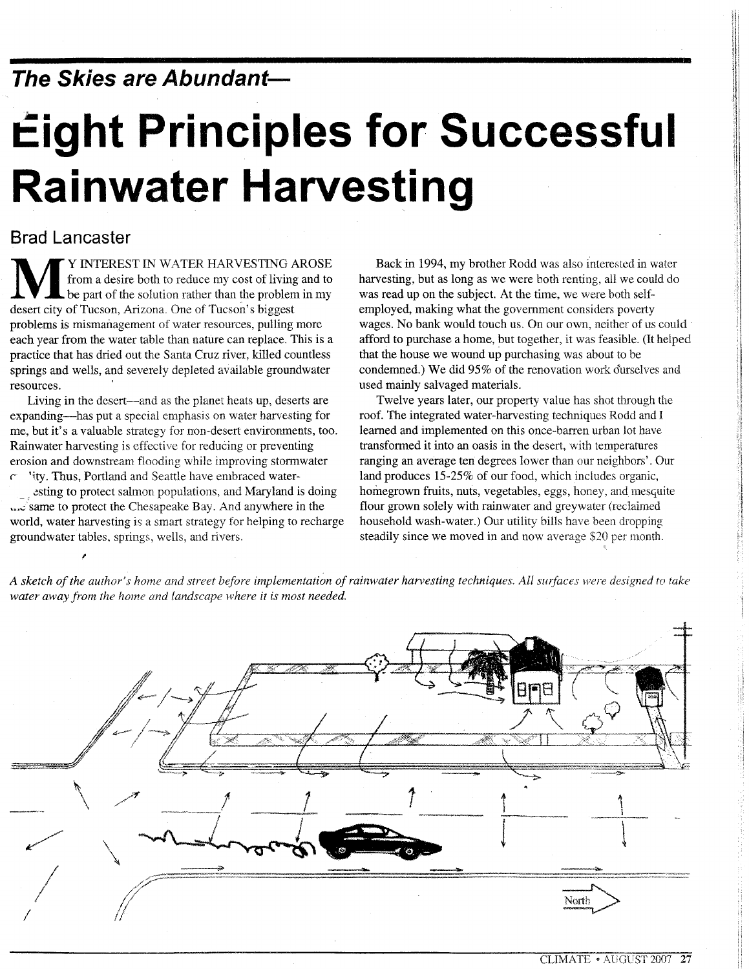**The Skies are Abundant-**

# $E$ ight Principles for Successful **Rainwater Harvesting**

# **Brad Lancaster**

**MULTAREST IN WATER HARVESTING AROSE**<br>from a desire both to reduce my cost of living and to<br>be part of the solution rather than the problem in my from a desire both to reduce my cost of living and to be part of the solution rather than the problem in my desert city of Tucson, Arizona. One of Tucson's biggest problems is mismanagement of water resources, pulling more each year from the water table than nature can replace. This is a practice that has dried out the Santa Cruz river, killed countless springs and wells, and severely depleted available groundwater resources.

Living in the desert—and as the planet heats up, deserts are expanding-has put a special emphasis on water harvesting for me, but it's a valuable strategy for non-desert environments, too. Rainwater harvesting is effective for reducing or preventing erosion and downstream flooding while improving stormwater  $r$  'ity. Thus, Portland and Seattle have embraced water-

esting to protect salmon populations, and Maryland is doing **A.**  $\epsilon$  same to protect the Chesapeake Bay. And anywhere in the world, water harvesting is a smart strategy for helping to recharge groundwater tables. springs, wells, and rivers.

Back in 1994, my brother Rodd was also interested in water harvesting, but as long as we were both renting, all we could do was read up on the subject. At the time, we were both selfemployed, making what the government considers poverty wages. No bank would touch us. On our own, neither of us could' afford to purchase a home, but together, it was feasible. (It helped that the house we wound up purchasing was about to be condemned.) We did 95% of the renovation work ourselves and used mainly salvaged materials.

Twelve years later, our property value has shot through the roof. The integrated water-harvesting techniques Rodd and I learned and implemented on this once-barren urban lot have transformed it into an oasis in the desert, with temperatures ranging an average ten degrees lower than our neighbors'. Our land produces 15-25% of our food, which includes organic, homegrown fruits, nuts, vegetables, eggs, honey, and mesquite flour grown solely with rainwater and greywater (reclaimed household wash-water.) Our utility bills have been dropping steadily since we moved in and now average \$20 per month.

A sketch of the author's home and street before implementation of rainwater harvesting techniques. All surfaces were designed to take *water away from the home and landscape where it is most needed.*

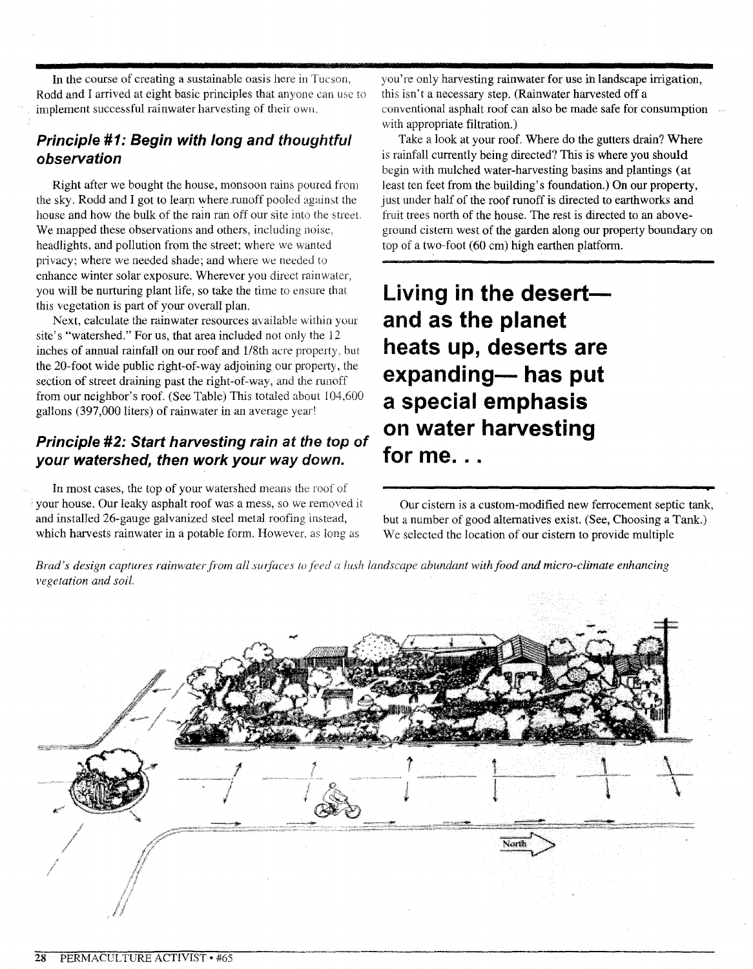In the course of creating a sustainable oasis here in Tucson, Rodd and I arrived at eight basic principles that anyone can use to implement successful rainwater harvesting of their own.

# **Principle #1: Begin with long and thoughtful observation**

Right after we bought the house, monsoon rains poured from the sky. Rodd and I got to learn where runoff pooled against the house and how the bulk of the rain ran off our site into the street. We mapped these observations and others, including noise, headlights, and pollution from the street: where we wanted privacy; where we needed shade; and where we needed to enhance winter solar exposure. Wherever you direct rainwater, you will be nurturing plant life, so take the time to ensure that this vegetation is part of your overall plan.

Next, calculate the rainwater resources available within your site's "watershed." For us, that area included not only the 12 inches of annual rainfall on our roof and 1/8th acre property, but the 20-foot wide public right-of-way adjoining our property, the section of street draining past the right-of-way, and the runoff from our neighbor's roof. (See Table) This totaled about 104,600 gallons (397,000 liters) of rainwater in an average year!

# **Principle #2: Start harvesting rain at the** *top* **of your watershed, then work your way down.**

In most cases, the top of your watershed means the roof of your house. Our leaky asphalt roof was a mess, so we removed it and installed 26-gauge galvanized steel metal roofing instead, which harvests rainwater in a potable form. However, as long as

you're only harvesting rainwater for use ih landscape irrigation, this isn't a necessary step. (Rainwater harvested off a conventional asphalt roof can also be made safe for consumption with appropriate filtration.)

Take a look at your roof. Where do the gutters drain? Where is rainfall currently being directed? This is where you should begin with mulched water-harvesting basins and plantings (at least ten feet from the building's foundation.) On our property, just under half of the roof runoff is directed to earthworks and fruit trees north of the house. The rest is directed to an aboveground cistern west of the garden along our property boundary on top of a two-foot (60 em) high earthen platform.

Living in the desert**and as the planet heats up, deserts are expanding- has put a special emphasis on water harvesting for me...**

Our cistern is a custom-modified new ferrocement septic tank, but a number of good alternatives exist. (See, Choosing a Tank.) We selected the location of our cistern to provide multiple

Brad's design captures rainwater from all surfaces to feed a lush landscape abundant with food and micro-climate enhancing *vegetation and soil.*

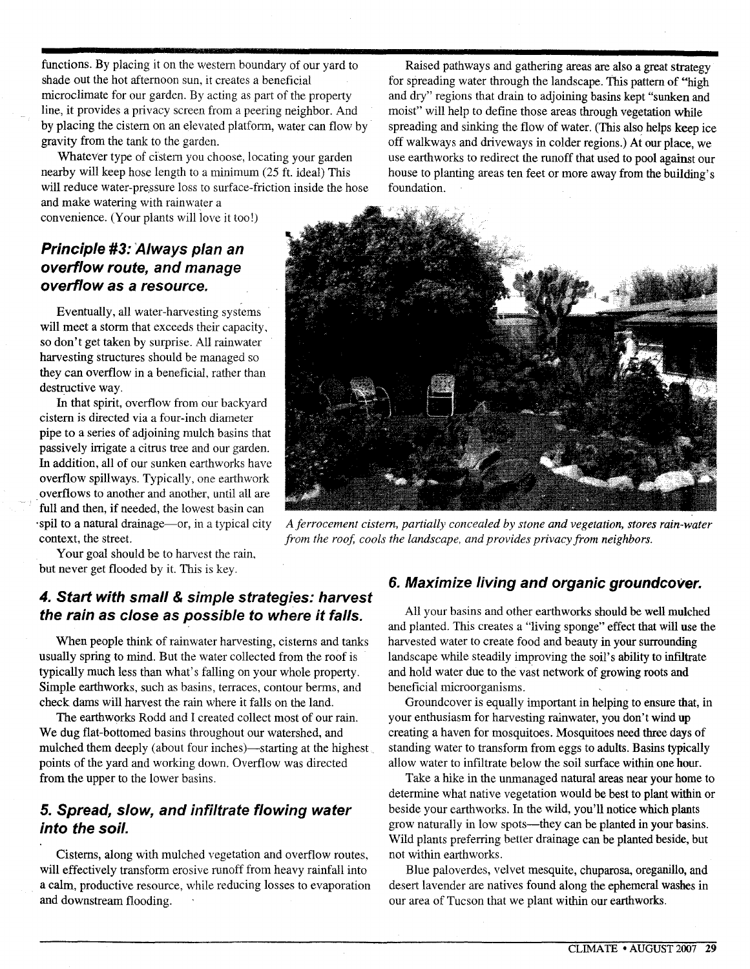functions. By placing it on the western boundary of our yard to shade out the hot afternoon sun, it creates a beneficial microclimate for our garden. By acting as part of the property line, it provides a privacy screen from a peering neighbor. And by placing the cistern on an elevated platform, water can flow by gravity from the tank to the garden.

Whatever type of cistern you choose, locating your garden nearby will keep hose length to a minimum (25 ft. ideal) This will reduce water-pressure loss to surface-friction inside the hose and make watering with rainwater a

convenience. (Your plants will love it too!)

# **Principle #3: :4lways plan an overflow route, and manage overflow as a resource.**

Eventually, all water-harvesting systems will meet a storm that exceeds their capacity, so don't get taken by surprise. All rainwater harvesting structures should be managed so they can overflow in a beneficial. rather than destructive way.

In that spirit, overflow from our backyard cistern is directed via a four-inch diameter pipe to a series of adjoining mulch basins that passively irrigate a citrus tree and our garden. In addition, all of our sunken earthworks have overflow spillways. Typically, one earthwork overflows to another and another, until all are full and then, if needed, the lowest basin can 'spil to a natural drainage-or, in a typical city context, the street.

Your goal should be to harvest the rain, but never get flooded by it. This is key.

# **4. Start with small & simple strategies: harvest the rain as close as possible to where it falls.**

When people think of rainwater harvesting, cisterns and tanks usually spring to mind. But the water collected from the roof is typically much less than what's falling on your whole property. Simple earthworks, such as basins, terraces, contour berms, and check dams will harvest the rain where it falls on the land.

The earthworks Rodd and I created collect most of our rain. We dug flat-bottomed basins throughout our watershed, and mulched them deeply (about four inches)—starting at the highest points of the yard and working down. Overflow was directed from the upper to the lower basins.

# **5. Spread, slow, and infiltrate flowing water into the soil.**

Cisterns, along with mulched vegetation and overflow routes, will effectively transform erosive runoff from heavy rainfall into a calm, productive resource, while reducing losses to evaporation and downstream flooding.

Raised pathways and gathering areas are also a great strategy for spreading water through the landscape. This pattern of "high and dry" regions that drain to adjoining basins kept "sunken and moist" will help to define those areas through vegetation while spreading and sinking the flow of water. (This also helps keep ice off walkways and driveways in colder regions.) At our place, we use earthworks to redirect the runoff that used to pool against our house to planting areas ten feet or more away from the building's foundation.



*Aferrocement cistern, partially concealed by stone and vegetation, stores rain-water from the roof, cools the landscape, and provides privacy from neighbors.*

#### **6. Maximize living and organic groundcover.**

All your basins and other earthworks should be well mulched and planted. This creates a "living sponge" effect that will use the harvested water to create food and beauty in your surrounding landscape while steadily improving the soil's ability to infiltrate and hold water due to the vast network of growing roots and beneficial microorganisms.

Groundcover is equally important in helping to ensure that, in your enthusiasm for harvesting rainwater, you don't wind up creating a haven for mosquitoes. Mosquitoes need three days of standing water to transform from eggs to adults. Basins typically allow water to infiltrate below the soil surface within one hour.

Take a hike in the unmanaged natural areas near your home to determine what native vegetation would be best to plant within or beside your earthworks. In the wild, you'll notice which plants grow naturally in low spots—they can be planted in your basins. Wild plants preferring better drainage can be planted beside, but not within earthworks.

Blue paloverdes, velvet mesquite, chuparosa, oreganillo, and desert lavender are natives found along the ephemeral washes in our area of Tucson that we plant within our earthworks.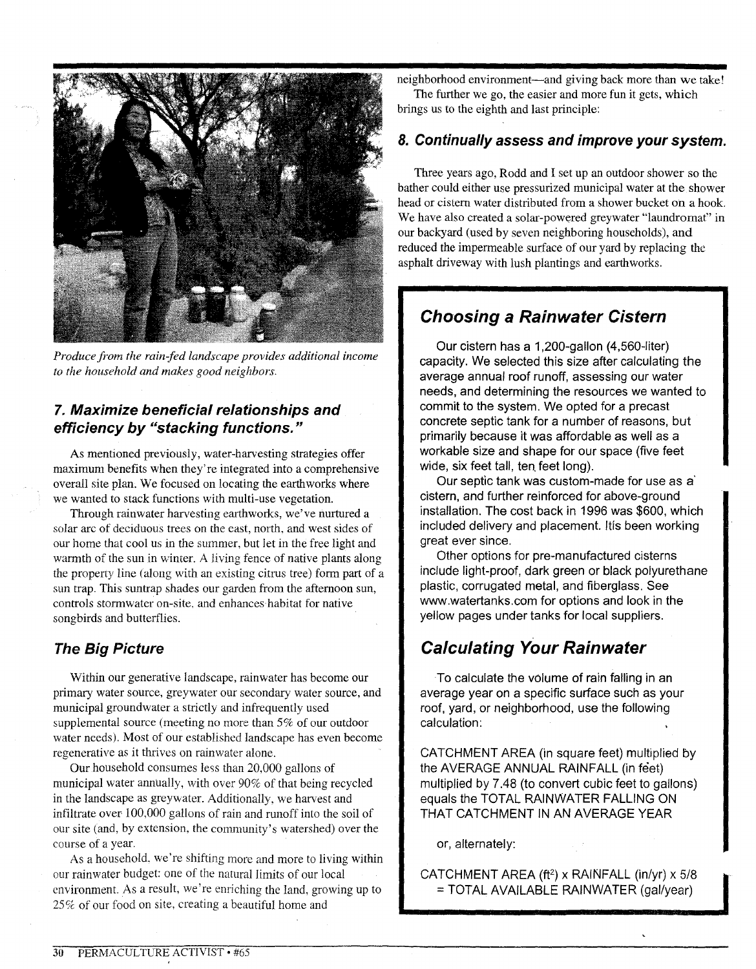

*Produce from the rain-fed landscape provides additional income to the household and makes good neighbors.*

#### **7. Maximize beneficial relationships and efficiency by "stacking functions."**

As mentioned previously, water-harvesting strategies offer maximum benefits when they're integrated into a comprehensive overall site plan. We focused on locating the earthworks where we wanted to stack functions with multi-use vegetation.

Through rainwater harvesting earthworks, we've nurtured a solar arc of deciduous trees on the east, north, and west sides of our home that cool us in the summer, but let in the free light and warmth of the sun in winter. A living fence of native plants along the property line (along with an existing citrus tree) form part of a sun trap. This suntrap shades our garden from the afternoon sun, controls stormwater on-site, and enhances habitat for native songbirds and butterflies.

#### **The Big Picture**

Within our generative landscape, rainwater has become our primary water source, greywater our secondary water source, and municipal groundwater a strictly and infrequently used supplemental source (meeting no more than 5% of our outdoor water needs). Most of our established landscape has even become regenerative as it thrives on rainwater alone.

Our household consumes less than 20,000 gallons of municipal water annually, with over 90% of that being recycled in the landscape as greywater. Additionally, we harvest and infiltrate over-lOO,OOOgallons of rain and runoff into the soil of our site (and, by extension, the community's watershed) over the course of a year.

As a household, we're shifting more and more to living within our rainwater budget: one of the natural limits of our local environment. As a result, we're enriching the land, growing up to *25~7c*of our food on site, creating a beautiful home and

neighborhood environment-and giving back more than we take!

The further we go, the easier and more fun it gets, which brings us to the eighth and last principle:

#### **8.** Continually assess **and improve your system.**

Three years ago, Rodd and I set up an outdoor shower so the bather could either use pressurized municipal water at the shower head or cistern water distributed from a shower bucket on a hook. We have also created a solar-powered greywater "laundromat" in our backyard (used by seven neighboting households), and reduced the impermeable surface of our yard by replacing the asphalt driveway with lush plantings and earthworks.

# **Choosing a Rainwater Cistern**

Our cistern has a 1,200-gallon (4,560-liter) capacity. We selected this size after calculating the average annual roof runoff, assessing our water needs, and determining the resources we wanted to commit to the system. We opted for a precast concrete septic tank for a number of reasons, but primarily because it was affordable as well as a workable size and shape for our space (five feet wide, six feet tall, ten feet long).

Our septic tank was custom-made for use as a' cistern, and further reinforced for above-ground installation. The cost back in 1996 was \$600, which included delivery and placement. Itfs been working great ever since.

Other options for pre-manufactured cisterns include light-proof, dark green or black polyurethane plastic, corrugated metal, and fiberglass. See www.watertanks.com for options and look in the yellow pages under tanks for local suppliers.

# **Calculating Your Rainwater**

To calculate the volume of rain falling in an average year on a specific surface such as your roof, yard, or neighborhood, use the following calculation:

CATCHMENT AREA (in square feet) multiplied by the AVERAGE ANNUAL RAINFALL (in feet) multiplied by 7.48 (to convert cubic feet to gallons) equals the TOTAL RAINWATER FALLING ON THAT CATCHMENT IN AN AVERAGE YEAR

or, alternately:

CATCHMENT AREA (ft<sup>2</sup>) x RAINFALL (in/yr) x  $5/8$ = TOTAL AVAILABLE RAINWATER (gal/year)